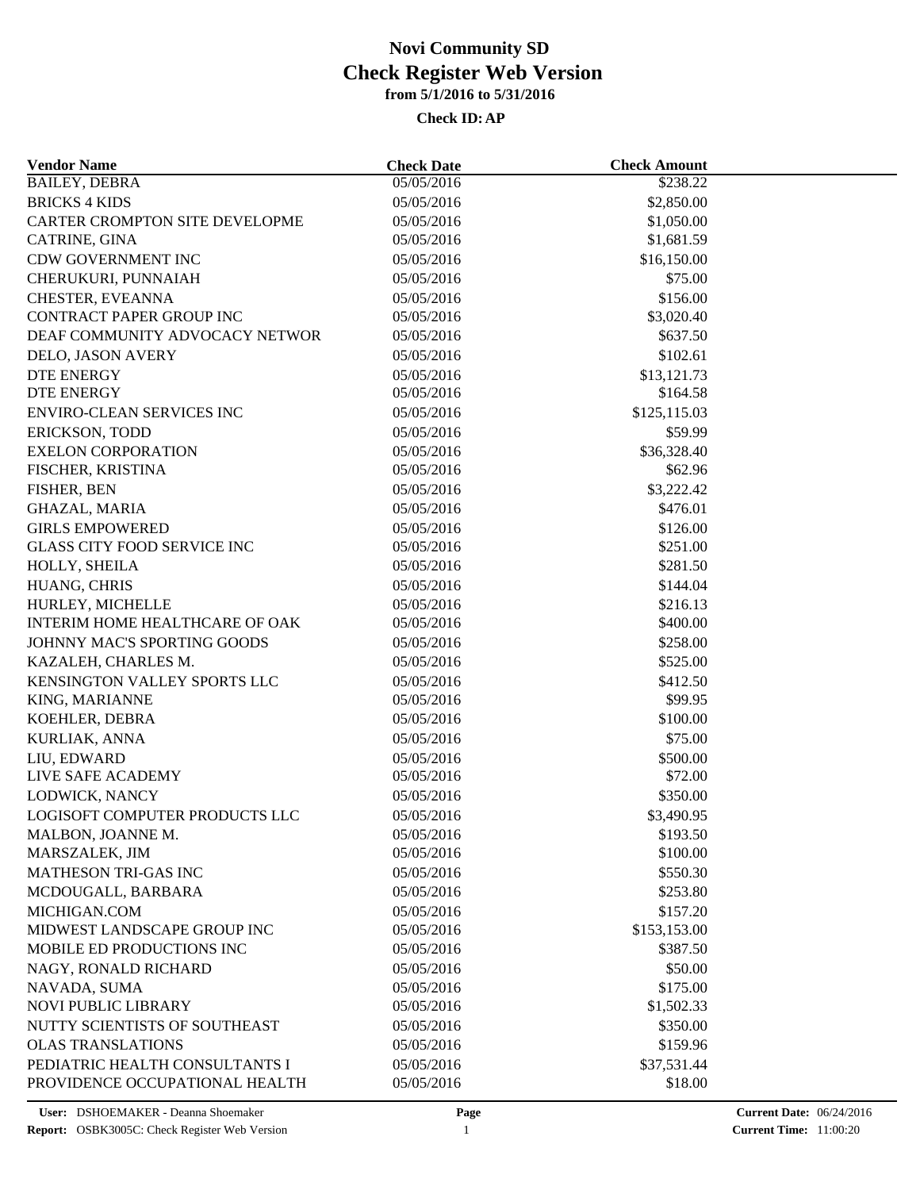| <b>Vendor Name</b>                 | <b>Check Date</b>        | <b>Check Amount</b> |  |
|------------------------------------|--------------------------|---------------------|--|
| <b>BAILEY, DEBRA</b>               | 05/05/2016               | \$238.22            |  |
| <b>BRICKS 4 KIDS</b>               | 05/05/2016               | \$2,850.00          |  |
| CARTER CROMPTON SITE DEVELOPME     | 05/05/2016               | \$1,050.00          |  |
| CATRINE, GINA                      | 05/05/2016               | \$1,681.59          |  |
| <b>CDW GOVERNMENT INC</b>          | 05/05/2016               | \$16,150.00         |  |
| CHERUKURI, PUNNAIAH                | 05/05/2016               | \$75.00             |  |
| CHESTER, EVEANNA                   | 05/05/2016               | \$156.00            |  |
| CONTRACT PAPER GROUP INC           | 05/05/2016               | \$3,020.40          |  |
| DEAF COMMUNITY ADVOCACY NETWOR     | 05/05/2016               | \$637.50            |  |
| DELO, JASON AVERY                  | 05/05/2016               | \$102.61            |  |
| DTE ENERGY                         | 05/05/2016               | \$13,121.73         |  |
| <b>DTE ENERGY</b>                  | 05/05/2016               | \$164.58            |  |
| <b>ENVIRO-CLEAN SERVICES INC</b>   | 05/05/2016               | \$125,115.03        |  |
| ERICKSON, TODD                     | 05/05/2016               | \$59.99             |  |
| <b>EXELON CORPORATION</b>          | 05/05/2016               | \$36,328.40         |  |
| FISCHER, KRISTINA                  | 05/05/2016               | \$62.96             |  |
| FISHER, BEN                        | 05/05/2016               | \$3,222.42          |  |
| GHAZAL, MARIA                      | 05/05/2016               | \$476.01            |  |
| <b>GIRLS EMPOWERED</b>             | 05/05/2016               | \$126.00            |  |
| <b>GLASS CITY FOOD SERVICE INC</b> | 05/05/2016               | \$251.00            |  |
| HOLLY, SHEILA                      | 05/05/2016               | \$281.50            |  |
| HUANG, CHRIS                       | 05/05/2016               | \$144.04            |  |
| HURLEY, MICHELLE                   | 05/05/2016               | \$216.13            |  |
| INTERIM HOME HEALTHCARE OF OAK     | 05/05/2016               | \$400.00            |  |
| JOHNNY MAC'S SPORTING GOODS        | 05/05/2016               | \$258.00            |  |
| KAZALEH, CHARLES M.                | 05/05/2016               | \$525.00            |  |
| KENSINGTON VALLEY SPORTS LLC       |                          | \$412.50            |  |
| KING, MARIANNE                     | 05/05/2016<br>05/05/2016 | \$99.95             |  |
|                                    |                          | \$100.00            |  |
| KOEHLER, DEBRA                     | 05/05/2016               |                     |  |
| KURLIAK, ANNA                      | 05/05/2016               | \$75.00             |  |
| LIU, EDWARD<br>LIVE SAFE ACADEMY   | 05/05/2016               | \$500.00            |  |
|                                    | 05/05/2016               | \$72.00             |  |
| LODWICK, NANCY                     | 05/05/2016               | \$350.00            |  |
| LOGISOFT COMPUTER PRODUCTS LLC     | 05/05/2016               | \$3,490.95          |  |
| MALBON, JOANNE M.                  | 05/05/2016               | \$193.50            |  |
| MARSZALEK, JIM                     | 05/05/2016               | \$100.00            |  |
| <b>MATHESON TRI-GAS INC</b>        | 05/05/2016               | \$550.30            |  |
| MCDOUGALL, BARBARA                 | 05/05/2016               | \$253.80            |  |
| MICHIGAN.COM                       | 05/05/2016               | \$157.20            |  |
| MIDWEST LANDSCAPE GROUP INC        | 05/05/2016               | \$153,153.00        |  |
| MOBILE ED PRODUCTIONS INC          | 05/05/2016               | \$387.50            |  |
| NAGY, RONALD RICHARD               | 05/05/2016               | \$50.00             |  |
| NAVADA, SUMA                       | 05/05/2016               | \$175.00            |  |
| <b>NOVI PUBLIC LIBRARY</b>         | 05/05/2016               | \$1,502.33          |  |
| NUTTY SCIENTISTS OF SOUTHEAST      | 05/05/2016               | \$350.00            |  |
| <b>OLAS TRANSLATIONS</b>           | 05/05/2016               | \$159.96            |  |
| PEDIATRIC HEALTH CONSULTANTS I     | 05/05/2016               | \$37,531.44         |  |
| PROVIDENCE OCCUPATIONAL HEALTH     | 05/05/2016               | \$18.00             |  |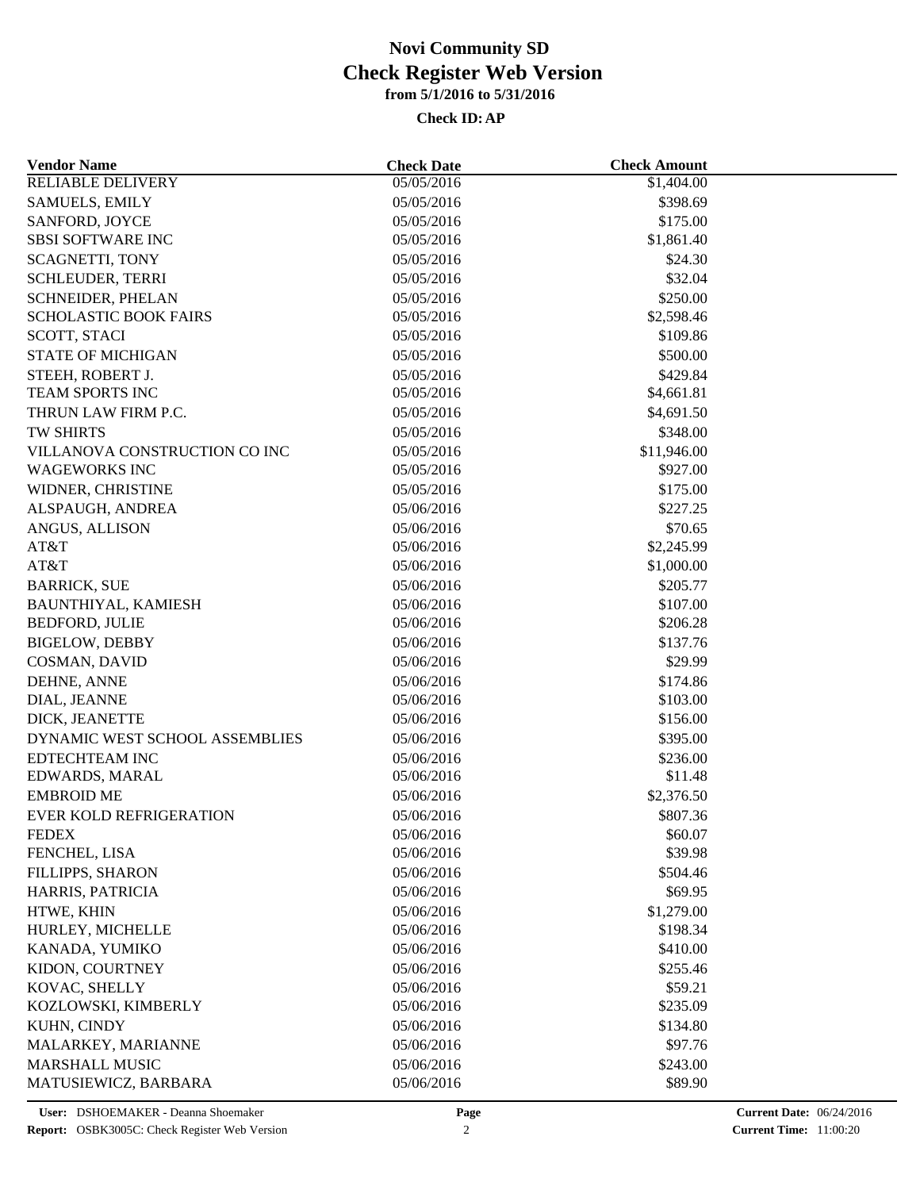| <b>Vendor Name</b>             | <b>Check Date</b> | <b>Check Amount</b> |  |
|--------------------------------|-------------------|---------------------|--|
| RELIABLE DELIVERY              | 05/05/2016        | \$1,404.00          |  |
| <b>SAMUELS, EMILY</b>          | 05/05/2016        | \$398.69            |  |
| SANFORD, JOYCE                 | 05/05/2016        | \$175.00            |  |
| <b>SBSI SOFTWARE INC</b>       | 05/05/2016        | \$1,861.40          |  |
| <b>SCAGNETTI, TONY</b>         | 05/05/2016        | \$24.30             |  |
| <b>SCHLEUDER, TERRI</b>        | 05/05/2016        | \$32.04             |  |
| SCHNEIDER, PHELAN              | 05/05/2016        | \$250.00            |  |
| <b>SCHOLASTIC BOOK FAIRS</b>   | 05/05/2016        | \$2,598.46          |  |
| SCOTT, STACI                   | 05/05/2016        | \$109.86            |  |
| <b>STATE OF MICHIGAN</b>       | 05/05/2016        | \$500.00            |  |
| STEEH, ROBERT J.               | 05/05/2016        | \$429.84            |  |
| <b>TEAM SPORTS INC</b>         | 05/05/2016        | \$4,661.81          |  |
| THRUN LAW FIRM P.C.            | 05/05/2016        | \$4,691.50          |  |
| TW SHIRTS                      | 05/05/2016        | \$348.00            |  |
| VILLANOVA CONSTRUCTION CO INC  | 05/05/2016        | \$11,946.00         |  |
| <b>WAGEWORKS INC</b>           | 05/05/2016        | \$927.00            |  |
| WIDNER, CHRISTINE              | 05/05/2016        | \$175.00            |  |
| ALSPAUGH, ANDREA               | 05/06/2016        | \$227.25            |  |
| ANGUS, ALLISON                 | 05/06/2016        | \$70.65             |  |
| AT&T                           | 05/06/2016        | \$2,245.99          |  |
| AT&T                           | 05/06/2016        | \$1,000.00          |  |
| <b>BARRICK, SUE</b>            | 05/06/2016        | \$205.77            |  |
| BAUNTHIYAL, KAMIESH            | 05/06/2016        | \$107.00            |  |
| BEDFORD, JULIE                 | 05/06/2016        | \$206.28            |  |
| <b>BIGELOW, DEBBY</b>          | 05/06/2016        | \$137.76            |  |
| COSMAN, DAVID                  | 05/06/2016        | \$29.99             |  |
| DEHNE, ANNE                    | 05/06/2016        | \$174.86            |  |
| DIAL, JEANNE                   | 05/06/2016        | \$103.00            |  |
| DICK, JEANETTE                 | 05/06/2016        | \$156.00            |  |
| DYNAMIC WEST SCHOOL ASSEMBLIES | 05/06/2016        | \$395.00            |  |
| <b>EDTECHTEAM INC</b>          | 05/06/2016        | \$236.00            |  |
| EDWARDS, MARAL                 | 05/06/2016        | \$11.48             |  |
| <b>EMBROID ME</b>              | 05/06/2016        | \$2,376.50          |  |
| <b>EVER KOLD REFRIGERATION</b> | 05/06/2016        | \$807.36            |  |
| <b>FEDEX</b>                   | 05/06/2016        | \$60.07             |  |
| FENCHEL, LISA                  | 05/06/2016        | \$39.98             |  |
|                                | 05/06/2016        | \$504.46            |  |
| FILLIPPS, SHARON               |                   |                     |  |
| HARRIS, PATRICIA               | 05/06/2016        | \$69.95             |  |
| HTWE, KHIN                     | 05/06/2016        | \$1,279.00          |  |
| HURLEY, MICHELLE               | 05/06/2016        | \$198.34            |  |
| KANADA, YUMIKO                 | 05/06/2016        | \$410.00            |  |
| KIDON, COURTNEY                | 05/06/2016        | \$255.46            |  |
| KOVAC, SHELLY                  | 05/06/2016        | \$59.21             |  |
| KOZLOWSKI, KIMBERLY            | 05/06/2016        | \$235.09            |  |
| KUHN, CINDY                    | 05/06/2016        | \$134.80            |  |
| MALARKEY, MARIANNE             | 05/06/2016        | \$97.76             |  |
| <b>MARSHALL MUSIC</b>          | 05/06/2016        | \$243.00            |  |
| MATUSIEWICZ, BARBARA           | 05/06/2016        | \$89.90             |  |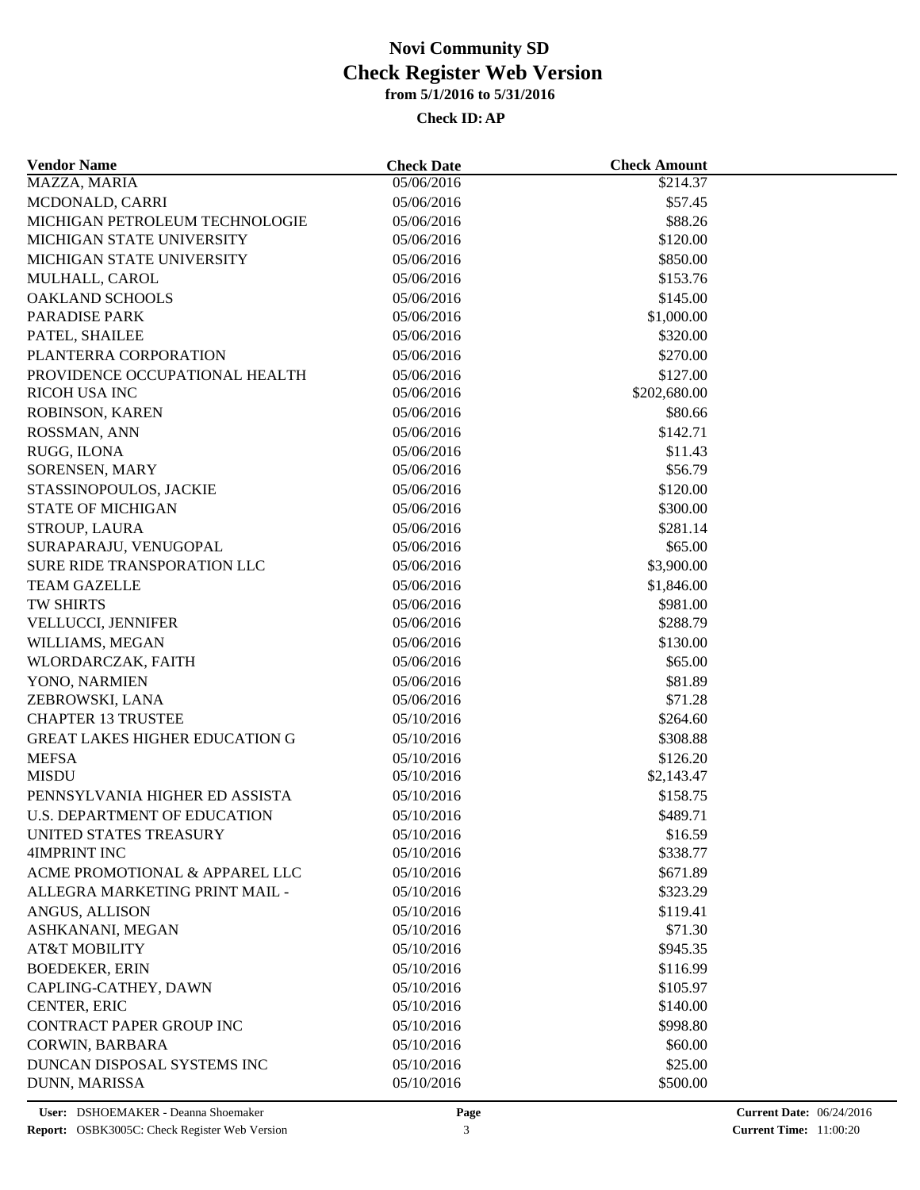| <b>Vendor Name</b>                    | <b>Check Date</b> | <b>Check Amount</b> |  |
|---------------------------------------|-------------------|---------------------|--|
| <b>MAZZA, MARIA</b>                   | 05/06/2016        | \$214.37            |  |
| MCDONALD, CARRI                       | 05/06/2016        | \$57.45             |  |
| MICHIGAN PETROLEUM TECHNOLOGIE        | 05/06/2016        | \$88.26             |  |
| MICHIGAN STATE UNIVERSITY             | 05/06/2016        | \$120.00            |  |
| MICHIGAN STATE UNIVERSITY             | 05/06/2016        | \$850.00            |  |
| MULHALL, CAROL                        | 05/06/2016        | \$153.76            |  |
| <b>OAKLAND SCHOOLS</b>                | 05/06/2016        | \$145.00            |  |
| PARADISE PARK                         | 05/06/2016        | \$1,000.00          |  |
| PATEL, SHAILEE                        | 05/06/2016        | \$320.00            |  |
| PLANTERRA CORPORATION                 | 05/06/2016        | \$270.00            |  |
| PROVIDENCE OCCUPATIONAL HEALTH        | 05/06/2016        | \$127.00            |  |
| <b>RICOH USA INC</b>                  | 05/06/2016        | \$202,680.00        |  |
| ROBINSON, KAREN                       | 05/06/2016        | \$80.66             |  |
| ROSSMAN, ANN                          | 05/06/2016        | \$142.71            |  |
| RUGG, ILONA                           | 05/06/2016        | \$11.43             |  |
| SORENSEN, MARY                        | 05/06/2016        | \$56.79             |  |
| STASSINOPOULOS, JACKIE                | 05/06/2016        | \$120.00            |  |
| <b>STATE OF MICHIGAN</b>              | 05/06/2016        | \$300.00            |  |
| STROUP, LAURA                         | 05/06/2016        | \$281.14            |  |
| SURAPARAJU, VENUGOPAL                 | 05/06/2016        | \$65.00             |  |
| SURE RIDE TRANSPORATION LLC           | 05/06/2016        | \$3,900.00          |  |
| <b>TEAM GAZELLE</b>                   | 05/06/2016        | \$1,846.00          |  |
| <b>TW SHIRTS</b>                      | 05/06/2016        | \$981.00            |  |
| VELLUCCI, JENNIFER                    | 05/06/2016        | \$288.79            |  |
| WILLIAMS, MEGAN                       | 05/06/2016        | \$130.00            |  |
|                                       |                   |                     |  |
| WLORDARCZAK, FAITH                    | 05/06/2016        | \$65.00             |  |
| YONO, NARMIEN                         | 05/06/2016        | \$81.89             |  |
| ZEBROWSKI, LANA                       | 05/06/2016        | \$71.28             |  |
| <b>CHAPTER 13 TRUSTEE</b>             | 05/10/2016        | \$264.60            |  |
| <b>GREAT LAKES HIGHER EDUCATION G</b> | 05/10/2016        | \$308.88            |  |
| <b>MEFSA</b>                          | 05/10/2016        | \$126.20            |  |
| <b>MISDU</b>                          | 05/10/2016        | \$2,143.47          |  |
| PENNSYLVANIA HIGHER ED ASSISTA        | 05/10/2016        | \$158.75            |  |
| <b>U.S. DEPARTMENT OF EDUCATION</b>   | 05/10/2016        | \$489.71            |  |
| UNITED STATES TREASURY                | 05/10/2016        | \$16.59             |  |
| <b>4IMPRINT INC</b>                   | 05/10/2016        | \$338.77            |  |
| ACME PROMOTIONAL & APPAREL LLC        | 05/10/2016        | \$671.89            |  |
| ALLEGRA MARKETING PRINT MAIL -        | 05/10/2016        | \$323.29            |  |
| ANGUS, ALLISON                        | 05/10/2016        | \$119.41            |  |
| ASHKANANI, MEGAN                      | 05/10/2016        | \$71.30             |  |
| <b>AT&amp;T MOBILITY</b>              | 05/10/2016        | \$945.35            |  |
| <b>BOEDEKER, ERIN</b>                 | 05/10/2016        | \$116.99            |  |
| CAPLING-CATHEY, DAWN                  | 05/10/2016        | \$105.97            |  |
| CENTER, ERIC                          | 05/10/2016        | \$140.00            |  |
| CONTRACT PAPER GROUP INC              | 05/10/2016        | \$998.80            |  |
| CORWIN, BARBARA                       | 05/10/2016        | \$60.00             |  |
| DUNCAN DISPOSAL SYSTEMS INC           | 05/10/2016        | \$25.00             |  |
| DUNN, MARISSA                         | 05/10/2016        | \$500.00            |  |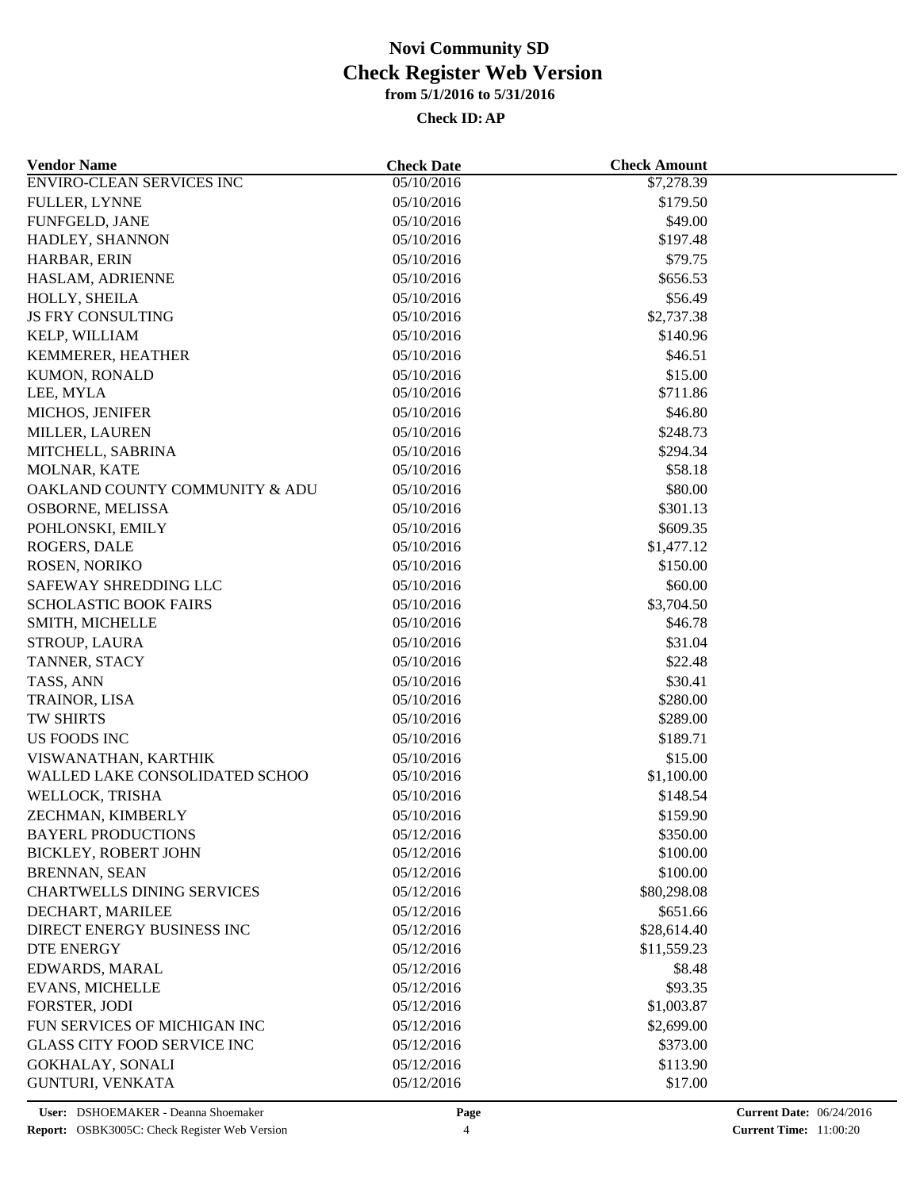| <b>Vendor Name</b>                 | <b>Check Date</b> | <b>Check Amount</b>     |  |
|------------------------------------|-------------------|-------------------------|--|
| <b>ENVIRO-CLEAN SERVICES INC</b>   | 05/10/2016        | \$7,278.39              |  |
| FULLER, LYNNE                      | 05/10/2016        | \$179.50                |  |
| FUNFGELD, JANE                     | 05/10/2016        | \$49.00                 |  |
| HADLEY, SHANNON                    | 05/10/2016        | \$197.48                |  |
| HARBAR, ERIN                       | 05/10/2016        | \$79.75                 |  |
| HASLAM, ADRIENNE                   | 05/10/2016        | \$656.53                |  |
| HOLLY, SHEILA                      | 05/10/2016        | \$56.49                 |  |
| JS FRY CONSULTING                  | 05/10/2016        | \$2,737.38              |  |
| KELP, WILLIAM                      | 05/10/2016        | \$140.96                |  |
| KEMMERER, HEATHER                  | 05/10/2016        | \$46.51                 |  |
| KUMON, RONALD                      | 05/10/2016        | \$15.00                 |  |
| LEE, MYLA                          | 05/10/2016        | \$711.86                |  |
| MICHOS, JENIFER                    | 05/10/2016        | \$46.80                 |  |
| MILLER, LAUREN                     | 05/10/2016        | \$248.73                |  |
| MITCHELL, SABRINA                  | 05/10/2016        | \$294.34                |  |
| MOLNAR, KATE                       | 05/10/2016        | \$58.18                 |  |
| OAKLAND COUNTY COMMUNITY & ADU     | 05/10/2016        | \$80.00                 |  |
| OSBORNE, MELISSA                   | 05/10/2016        | \$301.13                |  |
| POHLONSKI, EMILY                   | 05/10/2016        | \$609.35                |  |
| ROGERS, DALE                       | 05/10/2016        | \$1,477.12              |  |
| ROSEN, NORIKO                      | 05/10/2016        | \$150.00                |  |
| SAFEWAY SHREDDING LLC              | 05/10/2016        | \$60.00                 |  |
| <b>SCHOLASTIC BOOK FAIRS</b>       | 05/10/2016        | \$3,704.50              |  |
| SMITH, MICHELLE                    | 05/10/2016        | \$46.78                 |  |
| STROUP, LAURA                      | 05/10/2016        | \$31.04                 |  |
| TANNER, STACY                      | 05/10/2016        | \$22.48                 |  |
| TASS, ANN                          | 05/10/2016        | \$30.41                 |  |
| TRAINOR, LISA                      | 05/10/2016        | \$280.00                |  |
| TW SHIRTS                          | 05/10/2016        | \$289.00                |  |
| US FOODS INC                       | 05/10/2016        | \$189.71                |  |
| VISWANATHAN, KARTHIK               | 05/10/2016        | \$15.00                 |  |
| WALLED LAKE CONSOLIDATED SCHOO     | 05/10/2016        | \$1,100.00              |  |
| WELLOCK, TRISHA                    | 05/10/2016        | \$148.54                |  |
| ZECHMAN, KIMBERLY                  | 05/10/2016        | \$159.90                |  |
| <b>BAYERL PRODUCTIONS</b>          | 05/12/2016        | \$350.00                |  |
| <b>BICKLEY, ROBERT JOHN</b>        | 05/12/2016        | \$100.00                |  |
| <b>BRENNAN, SEAN</b>               | 05/12/2016        | \$100.00                |  |
| <b>CHARTWELLS DINING SERVICES</b>  | 05/12/2016        | \$80,298.08             |  |
| DECHART, MARILEE                   | 05/12/2016        |                         |  |
| DIRECT ENERGY BUSINESS INC         | 05/12/2016        | \$651.66<br>\$28,614.40 |  |
| <b>DTE ENERGY</b>                  | 05/12/2016        | \$11,559.23             |  |
|                                    |                   |                         |  |
| EDWARDS, MARAL                     | 05/12/2016        | \$8.48                  |  |
| <b>EVANS, MICHELLE</b>             | 05/12/2016        | \$93.35                 |  |
| FORSTER, JODI                      | 05/12/2016        | \$1,003.87              |  |
| FUN SERVICES OF MICHIGAN INC       | 05/12/2016        | \$2,699.00              |  |
| <b>GLASS CITY FOOD SERVICE INC</b> | 05/12/2016        | \$373.00                |  |
| <b>GOKHALAY, SONALI</b>            | 05/12/2016        | \$113.90                |  |
| <b>GUNTURI, VENKATA</b>            | 05/12/2016        | \$17.00                 |  |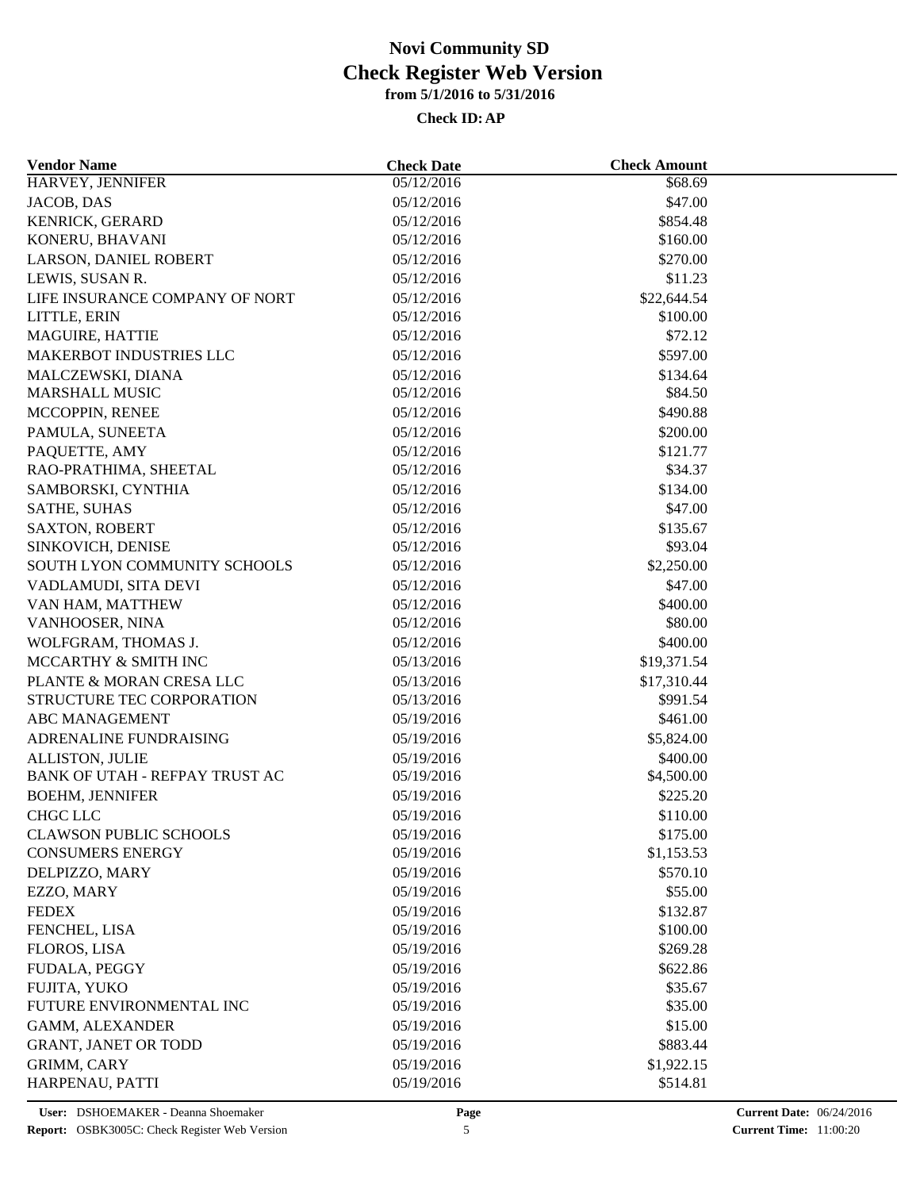| <b>Vendor Name</b>             | <b>Check Date</b> | <b>Check Amount</b> |  |
|--------------------------------|-------------------|---------------------|--|
| HARVEY, JENNIFER               | 05/12/2016        | \$68.69             |  |
| JACOB, DAS                     | 05/12/2016        | \$47.00             |  |
| KENRICK, GERARD                | 05/12/2016        | \$854.48            |  |
| KONERU, BHAVANI                | 05/12/2016        | \$160.00            |  |
| LARSON, DANIEL ROBERT          | 05/12/2016        | \$270.00            |  |
| LEWIS, SUSAN R.                | 05/12/2016        | \$11.23             |  |
| LIFE INSURANCE COMPANY OF NORT | 05/12/2016        | \$22,644.54         |  |
| LITTLE, ERIN                   | 05/12/2016        | \$100.00            |  |
| <b>MAGUIRE, HATTIE</b>         | 05/12/2016        | \$72.12             |  |
| MAKERBOT INDUSTRIES LLC        | 05/12/2016        | \$597.00            |  |
| MALCZEWSKI, DIANA              | 05/12/2016        | \$134.64            |  |
| MARSHALL MUSIC                 | 05/12/2016        | \$84.50             |  |
| MCCOPPIN, RENEE                | 05/12/2016        | \$490.88            |  |
| PAMULA, SUNEETA                | 05/12/2016        | \$200.00            |  |
| PAQUETTE, AMY                  | 05/12/2016        | \$121.77            |  |
| RAO-PRATHIMA, SHEETAL          | 05/12/2016        | \$34.37             |  |
| SAMBORSKI, CYNTHIA             | 05/12/2016        | \$134.00            |  |
| <b>SATHE, SUHAS</b>            | 05/12/2016        | \$47.00             |  |
| <b>SAXTON, ROBERT</b>          | 05/12/2016        | \$135.67            |  |
| SINKOVICH, DENISE              | 05/12/2016        | \$93.04             |  |
| SOUTH LYON COMMUNITY SCHOOLS   | 05/12/2016        | \$2,250.00          |  |
| VADLAMUDI, SITA DEVI           | 05/12/2016        | \$47.00             |  |
| VAN HAM, MATTHEW               | 05/12/2016        | \$400.00            |  |
| VANHOOSER, NINA                | 05/12/2016        | \$80.00             |  |
| WOLFGRAM, THOMAS J.            | 05/12/2016        | \$400.00            |  |
|                                |                   |                     |  |
| MCCARTHY & SMITH INC           | 05/13/2016        | \$19,371.54         |  |
| PLANTE & MORAN CRESA LLC       | 05/13/2016        | \$17,310.44         |  |
| STRUCTURE TEC CORPORATION      | 05/13/2016        | \$991.54            |  |
| <b>ABC MANAGEMENT</b>          | 05/19/2016        | \$461.00            |  |
| ADRENALINE FUNDRAISING         | 05/19/2016        | \$5,824.00          |  |
| <b>ALLISTON, JULIE</b>         | 05/19/2016        | \$400.00            |  |
| BANK OF UTAH - REFPAY TRUST AC | 05/19/2016        | \$4,500.00          |  |
| <b>BOEHM, JENNIFER</b>         | 05/19/2016        | \$225.20            |  |
| <b>CHGC LLC</b>                | 05/19/2016        | \$110.00            |  |
| <b>CLAWSON PUBLIC SCHOOLS</b>  | 05/19/2016        | \$175.00            |  |
| <b>CONSUMERS ENERGY</b>        | 05/19/2016        | \$1,153.53          |  |
| DELPIZZO, MARY                 | 05/19/2016        | \$570.10            |  |
| EZZO, MARY                     | 05/19/2016        | \$55.00             |  |
| <b>FEDEX</b>                   | 05/19/2016        | \$132.87            |  |
| FENCHEL, LISA                  | 05/19/2016        | \$100.00            |  |
| FLOROS, LISA                   | 05/19/2016        | \$269.28            |  |
| FUDALA, PEGGY                  | 05/19/2016        | \$622.86            |  |
| FUJITA, YUKO                   | 05/19/2016        | \$35.67             |  |
| FUTURE ENVIRONMENTAL INC       | 05/19/2016        | \$35.00             |  |
| <b>GAMM, ALEXANDER</b>         | 05/19/2016        | \$15.00             |  |
| <b>GRANT, JANET OR TODD</b>    | 05/19/2016        | \$883.44            |  |
| GRIMM, CARY                    | 05/19/2016        | \$1,922.15          |  |
| HARPENAU, PATTI                | 05/19/2016        | \$514.81            |  |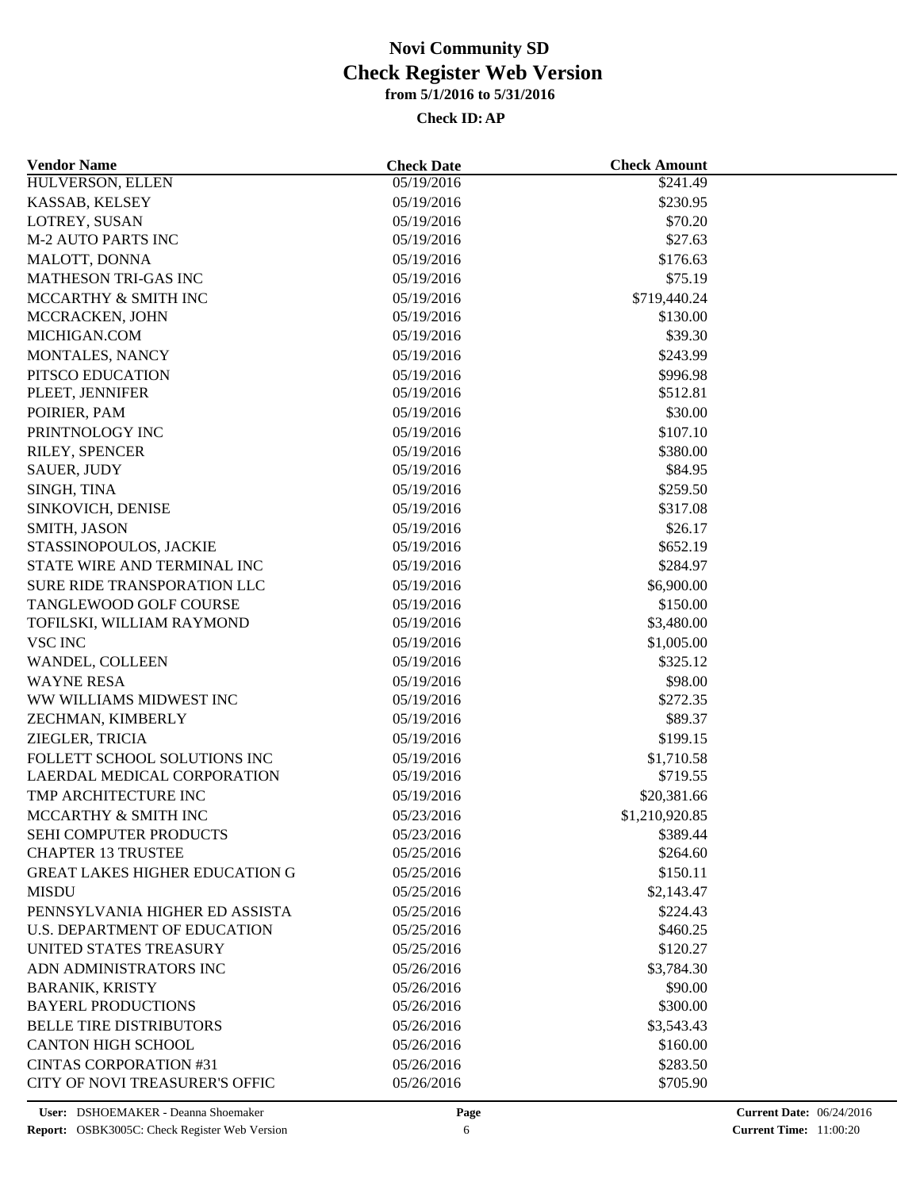| <b>Vendor Name</b>                    | <b>Check Date</b> | <b>Check Amount</b> |  |
|---------------------------------------|-------------------|---------------------|--|
| HULVERSON, ELLEN                      | 05/19/2016        | \$241.49            |  |
| KASSAB, KELSEY                        | 05/19/2016        | \$230.95            |  |
| LOTREY, SUSAN                         | 05/19/2016        | \$70.20             |  |
| <b>M-2 AUTO PARTS INC</b>             | 05/19/2016        | \$27.63             |  |
| MALOTT, DONNA                         | 05/19/2016        | \$176.63            |  |
| <b>MATHESON TRI-GAS INC</b>           | 05/19/2016        | \$75.19             |  |
| MCCARTHY & SMITH INC                  | 05/19/2016        | \$719,440.24        |  |
| MCCRACKEN, JOHN                       | 05/19/2016        | \$130.00            |  |
| MICHIGAN.COM                          | 05/19/2016        | \$39.30             |  |
| MONTALES, NANCY                       | 05/19/2016        | \$243.99            |  |
| PITSCO EDUCATION                      | 05/19/2016        | \$996.98            |  |
| PLEET, JENNIFER                       | 05/19/2016        | \$512.81            |  |
| POIRIER, PAM                          | 05/19/2016        | \$30.00             |  |
| PRINTNOLOGY INC                       | 05/19/2016        | \$107.10            |  |
| RILEY, SPENCER                        | 05/19/2016        | \$380.00            |  |
| SAUER, JUDY                           | 05/19/2016        | \$84.95             |  |
| SINGH, TINA                           | 05/19/2016        | \$259.50            |  |
| SINKOVICH, DENISE                     | 05/19/2016        | \$317.08            |  |
| SMITH, JASON                          | 05/19/2016        | \$26.17             |  |
| STASSINOPOULOS, JACKIE                | 05/19/2016        | \$652.19            |  |
| STATE WIRE AND TERMINAL INC           | 05/19/2016        | \$284.97            |  |
| <b>SURE RIDE TRANSPORATION LLC</b>    | 05/19/2016        | \$6,900.00          |  |
| TANGLEWOOD GOLF COURSE                | 05/19/2016        | \$150.00            |  |
| TOFILSKI, WILLIAM RAYMOND             | 05/19/2016        | \$3,480.00          |  |
| <b>VSC INC</b>                        | 05/19/2016        | \$1,005.00          |  |
| WANDEL, COLLEEN                       | 05/19/2016        | \$325.12            |  |
| <b>WAYNE RESA</b>                     | 05/19/2016        | \$98.00             |  |
| WW WILLIAMS MIDWEST INC               | 05/19/2016        | \$272.35            |  |
| ZECHMAN, KIMBERLY                     | 05/19/2016        | \$89.37             |  |
| ZIEGLER, TRICIA                       | 05/19/2016        | \$199.15            |  |
| FOLLETT SCHOOL SOLUTIONS INC          | 05/19/2016        | \$1,710.58          |  |
| LAERDAL MEDICAL CORPORATION           | 05/19/2016        | \$719.55            |  |
| TMP ARCHITECTURE INC                  | 05/19/2016        | \$20,381.66         |  |
| MCCARTHY & SMITH INC                  | 05/23/2016        | \$1,210,920.85      |  |
| SEHI COMPUTER PRODUCTS                | 05/23/2016        | \$389.44            |  |
| <b>CHAPTER 13 TRUSTEE</b>             | 05/25/2016        | \$264.60            |  |
| <b>GREAT LAKES HIGHER EDUCATION G</b> | 05/25/2016        | \$150.11            |  |
|                                       |                   |                     |  |
| <b>MISDU</b>                          | 05/25/2016        | \$2,143.47          |  |
| PENNSYLVANIA HIGHER ED ASSISTA        | 05/25/2016        | \$224.43            |  |
| U.S. DEPARTMENT OF EDUCATION          | 05/25/2016        | \$460.25            |  |
| UNITED STATES TREASURY                | 05/25/2016        | \$120.27            |  |
| ADN ADMINISTRATORS INC                | 05/26/2016        | \$3,784.30          |  |
| <b>BARANIK, KRISTY</b>                | 05/26/2016        | \$90.00             |  |
| <b>BAYERL PRODUCTIONS</b>             | 05/26/2016        | \$300.00            |  |
| <b>BELLE TIRE DISTRIBUTORS</b>        | 05/26/2016        | \$3,543.43          |  |
| <b>CANTON HIGH SCHOOL</b>             | 05/26/2016        | \$160.00            |  |
| <b>CINTAS CORPORATION #31</b>         | 05/26/2016        | \$283.50            |  |
| CITY OF NOVI TREASURER'S OFFIC        | 05/26/2016        | \$705.90            |  |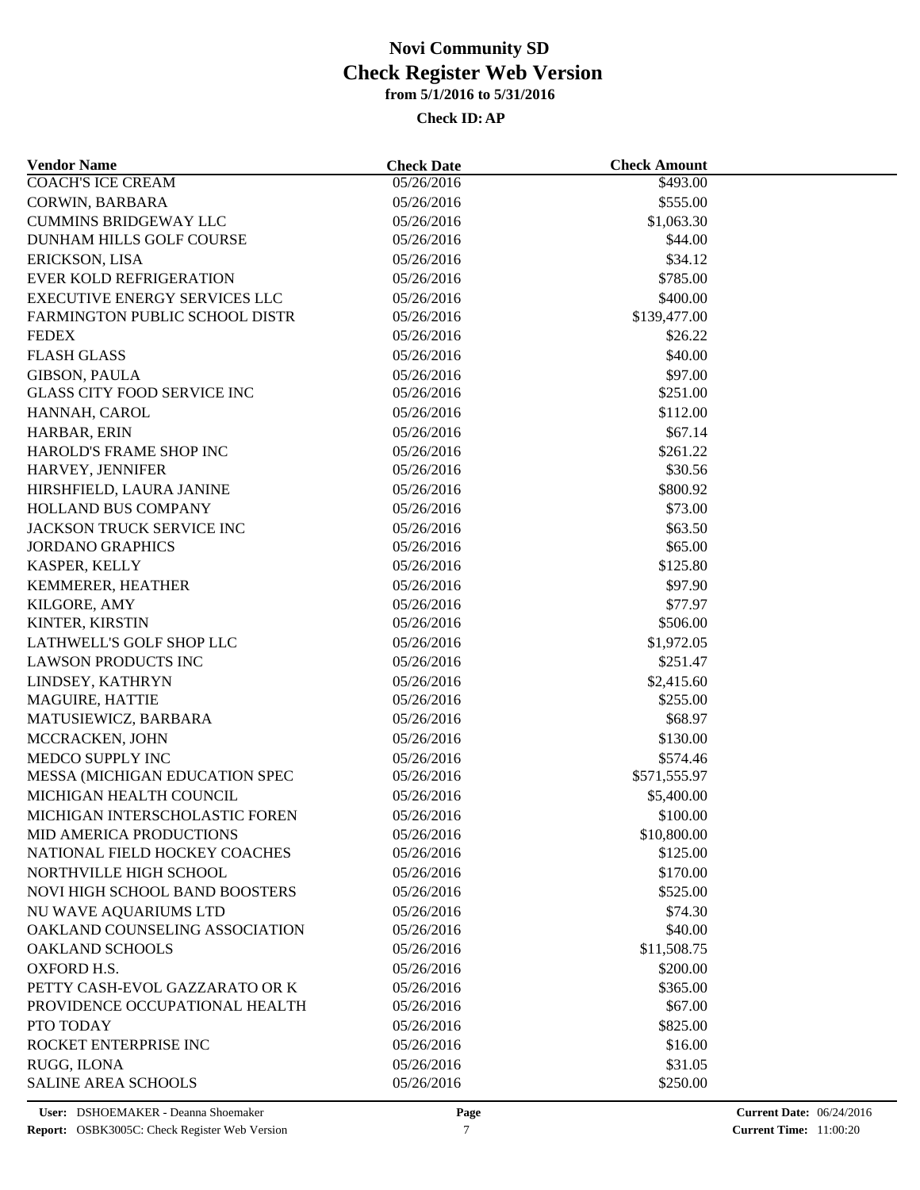| <b>Vendor Name</b>                   | <b>Check Date</b>        | <b>Check Amount</b>      |  |
|--------------------------------------|--------------------------|--------------------------|--|
| <b>COACH'S ICE CREAM</b>             | 05/26/2016               | \$493.00                 |  |
| CORWIN, BARBARA                      | 05/26/2016               | \$555.00                 |  |
| <b>CUMMINS BRIDGEWAY LLC</b>         | 05/26/2016               | \$1,063.30               |  |
| DUNHAM HILLS GOLF COURSE             | 05/26/2016               | \$44.00                  |  |
| ERICKSON, LISA                       | 05/26/2016               | \$34.12                  |  |
| <b>EVER KOLD REFRIGERATION</b>       | 05/26/2016               | \$785.00                 |  |
| <b>EXECUTIVE ENERGY SERVICES LLC</b> | 05/26/2016               | \$400.00                 |  |
| FARMINGTON PUBLIC SCHOOL DISTR       | 05/26/2016               | \$139,477.00             |  |
| <b>FEDEX</b>                         | 05/26/2016               | \$26.22                  |  |
| <b>FLASH GLASS</b>                   | 05/26/2016               | \$40.00                  |  |
| <b>GIBSON, PAULA</b>                 | 05/26/2016               | \$97.00                  |  |
| <b>GLASS CITY FOOD SERVICE INC</b>   | 05/26/2016               | \$251.00                 |  |
| HANNAH, CAROL                        | 05/26/2016               | \$112.00                 |  |
| HARBAR, ERIN                         | 05/26/2016               | \$67.14                  |  |
| HAROLD'S FRAME SHOP INC              | 05/26/2016               | \$261.22                 |  |
| HARVEY, JENNIFER                     | 05/26/2016               | \$30.56                  |  |
| HIRSHFIELD, LAURA JANINE             | 05/26/2016               | \$800.92                 |  |
| HOLLAND BUS COMPANY                  | 05/26/2016               | \$73.00                  |  |
| JACKSON TRUCK SERVICE INC            | 05/26/2016               | \$63.50                  |  |
| <b>JORDANO GRAPHICS</b>              | 05/26/2016               | \$65.00                  |  |
| KASPER, KELLY                        | 05/26/2016               | \$125.80                 |  |
| KEMMERER, HEATHER                    | 05/26/2016               | \$97.90                  |  |
| KILGORE, AMY                         | 05/26/2016               | \$77.97                  |  |
| KINTER, KIRSTIN                      | 05/26/2016               | \$506.00                 |  |
| LATHWELL'S GOLF SHOP LLC             | 05/26/2016               | \$1,972.05               |  |
| <b>LAWSON PRODUCTS INC</b>           | 05/26/2016               | \$251.47                 |  |
| LINDSEY, KATHRYN                     | 05/26/2016               | \$2,415.60               |  |
| <b>MAGUIRE, HATTIE</b>               | 05/26/2016               | \$255.00                 |  |
| MATUSIEWICZ, BARBARA                 | 05/26/2016               | \$68.97                  |  |
| MCCRACKEN, JOHN                      | 05/26/2016               | \$130.00                 |  |
| MEDCO SUPPLY INC                     |                          |                          |  |
| MESSA (MICHIGAN EDUCATION SPEC       | 05/26/2016<br>05/26/2016 | \$574.46<br>\$571,555.97 |  |
| MICHIGAN HEALTH COUNCIL              |                          |                          |  |
|                                      | 05/26/2016               | \$5,400.00               |  |
| MICHIGAN INTERSCHOLASTIC FOREN       | 05/26/2016               | \$100.00                 |  |
| MID AMERICA PRODUCTIONS              | 05/26/2016               | \$10,800.00              |  |
| NATIONAL FIELD HOCKEY COACHES        | 05/26/2016               | \$125.00                 |  |
| NORTHVILLE HIGH SCHOOL               | 05/26/2016               | \$170.00                 |  |
| NOVI HIGH SCHOOL BAND BOOSTERS       | 05/26/2016               | \$525.00                 |  |
| NU WAVE AQUARIUMS LTD                | 05/26/2016               | \$74.30                  |  |
| OAKLAND COUNSELING ASSOCIATION       | 05/26/2016               | \$40.00                  |  |
| <b>OAKLAND SCHOOLS</b>               | 05/26/2016               | \$11,508.75              |  |
| OXFORD H.S.                          | 05/26/2016               | \$200.00                 |  |
| PETTY CASH-EVOL GAZZARATO OR K       | 05/26/2016               | \$365.00                 |  |
| PROVIDENCE OCCUPATIONAL HEALTH       | 05/26/2016               | \$67.00                  |  |
| PTO TODAY                            | 05/26/2016               | \$825.00                 |  |
| ROCKET ENTERPRISE INC                | 05/26/2016               | \$16.00                  |  |
| RUGG, ILONA                          | 05/26/2016               | \$31.05                  |  |
| SALINE AREA SCHOOLS                  | 05/26/2016               | \$250.00                 |  |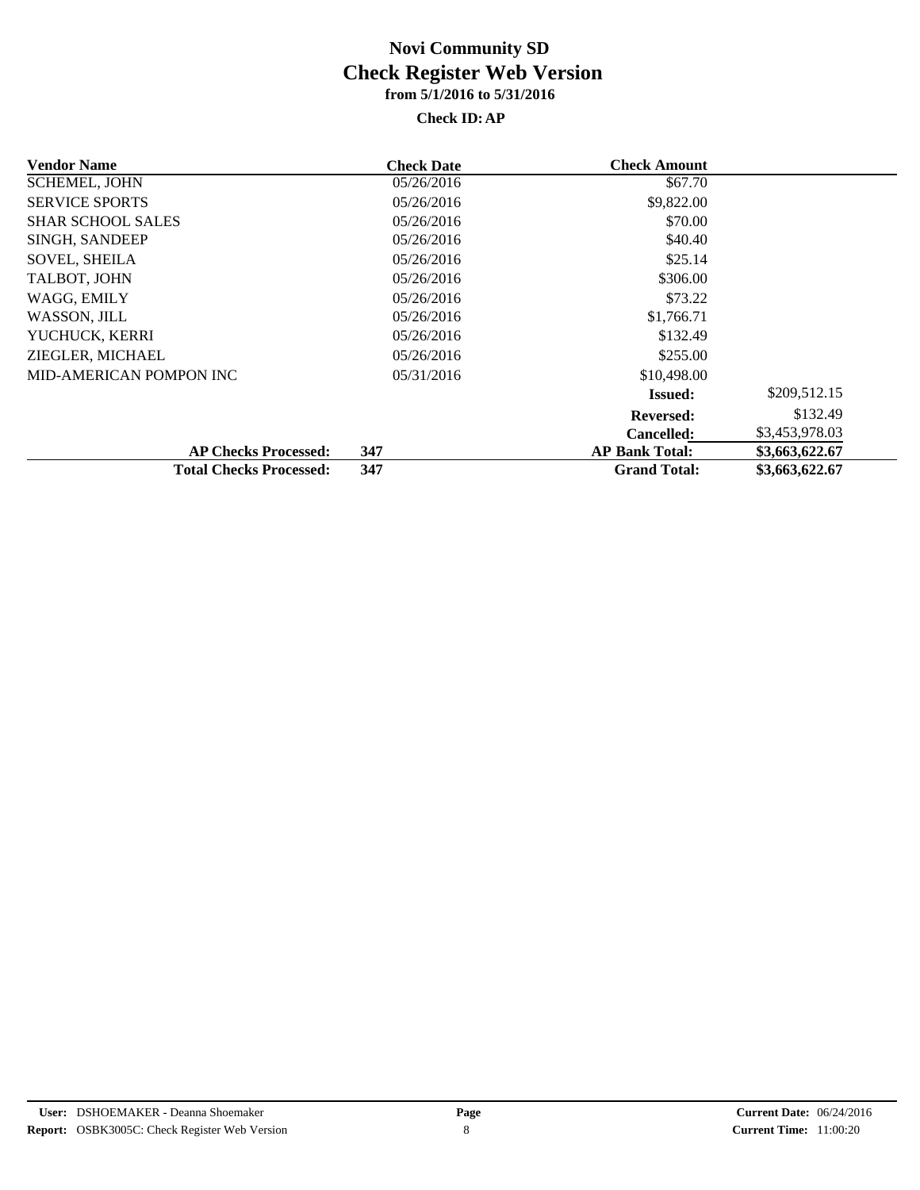| <b>Vendor Name</b>             | <b>Check Date</b> | <b>Check Amount</b>   |                |
|--------------------------------|-------------------|-----------------------|----------------|
| <b>SCHEMEL, JOHN</b>           | 05/26/2016        | \$67.70               |                |
| <b>SERVICE SPORTS</b>          | 05/26/2016        | \$9,822.00            |                |
| <b>SHAR SCHOOL SALES</b>       | 05/26/2016        | \$70.00               |                |
| SINGH, SANDEEP                 | 05/26/2016        | \$40.40               |                |
| <b>SOVEL, SHEILA</b>           | 05/26/2016        | \$25.14               |                |
| TALBOT, JOHN                   | 05/26/2016        | \$306.00              |                |
| WAGG, EMILY                    | 05/26/2016        | \$73.22               |                |
| WASSON, JILL                   | 05/26/2016        | \$1,766.71            |                |
| YUCHUCK, KERRI                 | 05/26/2016        | \$132.49              |                |
| ZIEGLER, MICHAEL               | 05/26/2016        | \$255.00              |                |
| MID-AMERICAN POMPON INC        | 05/31/2016        | \$10,498.00           |                |
|                                |                   | <b>Issued:</b>        | \$209,512.15   |
|                                |                   | <b>Reversed:</b>      | \$132.49       |
|                                |                   | <b>Cancelled:</b>     | \$3,453,978.03 |
| <b>AP Checks Processed:</b>    | 347               | <b>AP Bank Total:</b> | \$3,663,622.67 |
| <b>Total Checks Processed:</b> | 347               | <b>Grand Total:</b>   | \$3,663,622.67 |